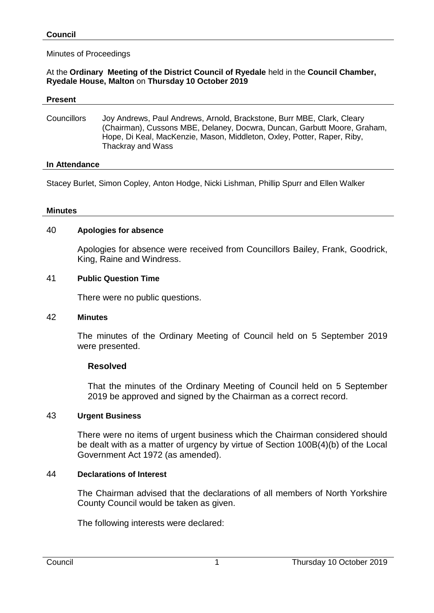#### Minutes of Proceedings

#### At the **Ordinary Meeting of the District Council of Ryedale** held in the **Council Chamber, Ryedale House, Malton** on **Thursday 10 October 2019**

#### **Present**

Councillors Joy Andrews, Paul Andrews, Arnold, Brackstone, Burr MBE, Clark, Cleary (Chairman), Cussons MBE, Delaney, Docwra, Duncan, Garbutt Moore, Graham, Hope, Di Keal, MacKenzie, Mason, Middleton, Oxley, Potter, Raper, Riby, Thackray and Wass

#### **In Attendance**

Stacey Burlet, Simon Copley, Anton Hodge, Nicki Lishman, Phillip Spurr and Ellen Walker

#### **Minutes**

#### 40 **Apologies for absence**

Apologies for absence were received from Councillors Bailey, Frank, Goodrick, King, Raine and Windress.

#### 41 **Public Question Time**

There were no public questions.

#### 42 **Minutes**

The minutes of the Ordinary Meeting of Council held on 5 September 2019 were presented.

## **Resolved**

That the minutes of the Ordinary Meeting of Council held on 5 September 2019 be approved and signed by the Chairman as a correct record.

## 43 **Urgent Business**

There were no items of urgent business which the Chairman considered should be dealt with as a matter of urgency by virtue of Section 100B(4)(b) of the Local Government Act 1972 (as amended).

## 44 **Declarations of Interest**

The Chairman advised that the declarations of all members of North Yorkshire County Council would be taken as given.

The following interests were declared: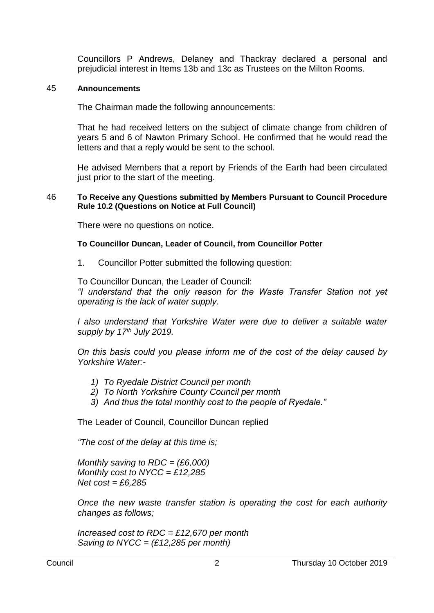Councillors P Andrews, Delaney and Thackray declared a personal and prejudicial interest in Items 13b and 13c as Trustees on the Milton Rooms.

#### 45 **Announcements**

The Chairman made the following announcements:

That he had received letters on the subject of climate change from children of years 5 and 6 of Nawton Primary School. He confirmed that he would read the letters and that a reply would be sent to the school.

He advised Members that a report by Friends of the Earth had been circulated just prior to the start of the meeting.

#### 46 **To Receive any Questions submitted by Members Pursuant to Council Procedure Rule 10.2 (Questions on Notice at Full Council)**

There were no questions on notice.

#### **To Councillor Duncan, Leader of Council, from Councillor Potter**

1. Councillor Potter submitted the following question:

To Councillor Duncan, the Leader of Council:

*"I understand that the only reason for the Waste Transfer Station not yet operating is the lack of water supply.*

*I also understand that Yorkshire Water were due to deliver a suitable water supply by 17th July 2019.*

*On this basis could you please inform me of the cost of the delay caused by Yorkshire Water:-*

- *1) To Ryedale District Council per month*
- *2) To North Yorkshire County Council per month*
- *3) And thus the total monthly cost to the people of Ryedale."*

The Leader of Council, Councillor Duncan replied

*"The cost of the delay at this time is;*

*Monthly saving to RDC = (£6,000) Monthly cost to NYCC = £12,285 Net cost = £6,285*

*Once the new waste transfer station is operating the cost for each authority changes as follows;*

*Increased cost to RDC = £12,670 per month Saving to NYCC = (£12,285 per month)*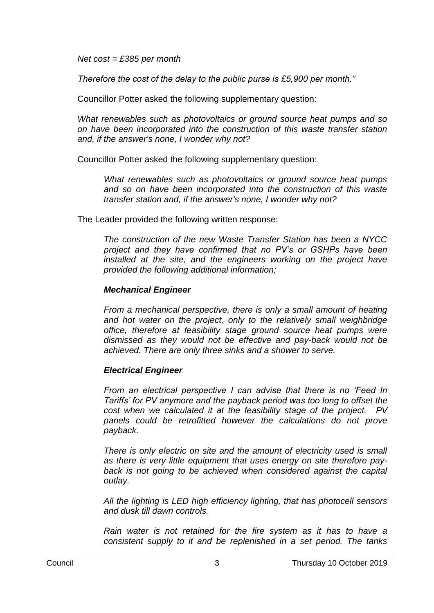*Net cost = £385 per month*

*Therefore the cost of the delay to the public purse is £5,900 per month."*

Councillor Potter asked the following supplementary question:

*What renewables such as photovoltaics or ground source heat pumps and so on have been incorporated into the construction of this waste transfer station and, if the answer's none, I wonder why not?*

Councillor Potter asked the following supplementary question:

*What renewables such as photovoltaics or ground source heat pumps and so on have been incorporated into the construction of this waste transfer station and, if the answer's none, I wonder why not?*

The Leader provided the following written response:

*The construction of the new Waste Transfer Station has been a NYCC project and they have confirmed that no PV's or GSHPs have been installed at the site, and the engineers working on the project have provided the following additional information;*

## *Mechanical Engineer*

*From a mechanical perspective, there is only a small amount of heating and hot water on the project, only to the relatively small weighbridge office, therefore at feasibility stage ground source heat pumps were dismissed as they would not be effective and pay-back would not be achieved. There are only three sinks and a shower to serve.*

# *Electrical Engineer*

*From an electrical perspective I can advise that there is no 'Feed In Tariffs' for PV anymore and the payback period was too long to offset the cost when we calculated it at the feasibility stage of the project. PV panels could be retrofitted however the calculations do not prove payback.*

*There is only electric on site and the amount of electricity used is small as there is very little equipment that uses energy on site therefore pay*back is not going to be achieved when considered against the capital *outlay.*

*All the lighting is LED high efficiency lighting, that has photocell sensors and dusk till dawn controls.*

*Rain water is not retained for the fire system as it has to have a consistent supply to it and be replenished in a set period. The tanks*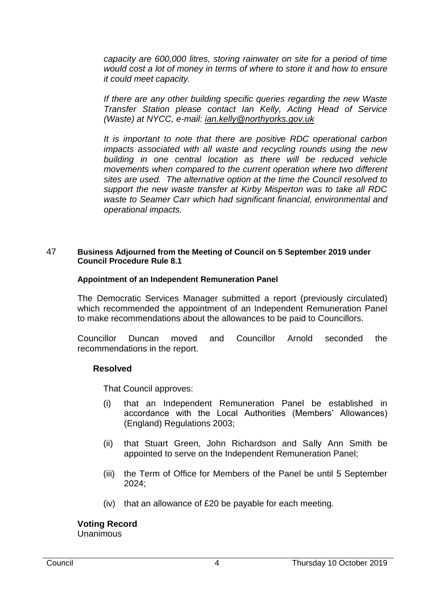*capacity are 600,000 litres, storing rainwater on site for a period of time would cost a lot of money in terms of where to store it and how to ensure it could meet capacity.*

*If there are any other building specific queries regarding the new Waste Transfer Station please contact Ian Kelly, Acting Head of Service (Waste) at NYCC, e-mail: [ian.kelly@northyorks.gov.uk](mailto:ian.kelly@northyorks.gov.uk)*

*It is important to note that there are positive RDC operational carbon impacts associated with all waste and recycling rounds using the new building in one central location as there will be reduced vehicle movements when compared to the current operation where two different sites are used. The alternative option at the time the Council resolved to support the new waste transfer at Kirby Misperton was to take all RDC waste to Seamer Carr which had significant financial, environmental and operational impacts.* 

## 47 **Business Adjourned from the Meeting of Council on 5 September 2019 under Council Procedure Rule 8.1**

#### **Appointment of an Independent Remuneration Panel**

The Democratic Services Manager submitted a report (previously circulated) which recommended the appointment of an Independent Remuneration Panel to make recommendations about the allowances to be paid to Councillors.

Councillor Duncan moved and Councillor Arnold seconded the recommendations in the report.

## **Resolved**

That Council approves:

- (i) that an Independent Remuneration Panel be established in accordance with the Local Authorities (Members' Allowances) (England) Regulations 2003;
- (ii) that Stuart Green, John Richardson and Sally Ann Smith be appointed to serve on the Independent Remuneration Panel;
- (iii) the Term of Office for Members of the Panel be until 5 September 2024;
- (iv) that an allowance of £20 be payable for each meeting.

#### **Voting Record** Unanimous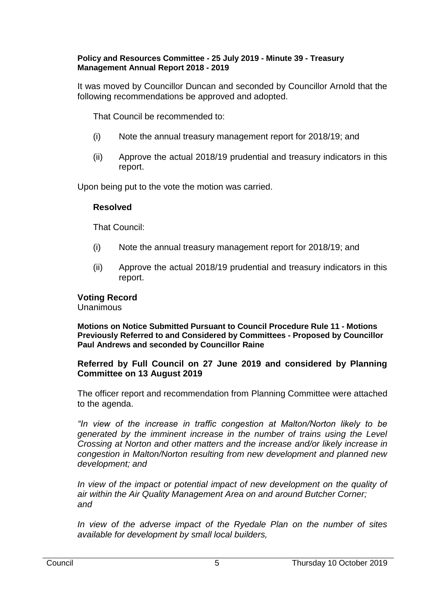## **Policy and Resources Committee - 25 July 2019 - Minute 39 - Treasury Management Annual Report 2018 - 2019**

It was moved by Councillor Duncan and seconded by Councillor Arnold that the following recommendations be approved and adopted.

That Council be recommended to:

- (i) Note the annual treasury management report for 2018/19; and
- (ii) Approve the actual 2018/19 prudential and treasury indicators in this report.

Upon being put to the vote the motion was carried.

# **Resolved**

That Council:

- (i) Note the annual treasury management report for 2018/19; and
- (ii) Approve the actual 2018/19 prudential and treasury indicators in this report.

# **Voting Record**

Unanimous

**Motions on Notice Submitted Pursuant to Council Procedure Rule 11 - Motions Previously Referred to and Considered by Committees - Proposed by Councillor Paul Andrews and seconded by Councillor Raine**

# **Referred by Full Council on 27 June 2019 and considered by Planning Committee on 13 August 2019**

The officer report and recommendation from Planning Committee were attached to the agenda.

*"In view of the increase in traffic congestion at Malton/Norton likely to be generated by the imminent increase in the number of trains using the Level Crossing at Norton and other matters and the increase and/or likely increase in congestion in Malton/Norton resulting from new development and planned new development; and*

In view of the impact or potential impact of new development on the quality of *air within the Air Quality Management Area on and around Butcher Corner; and*

*In view of the adverse impact of the Ryedale Plan on the number of sites available for development by small local builders,*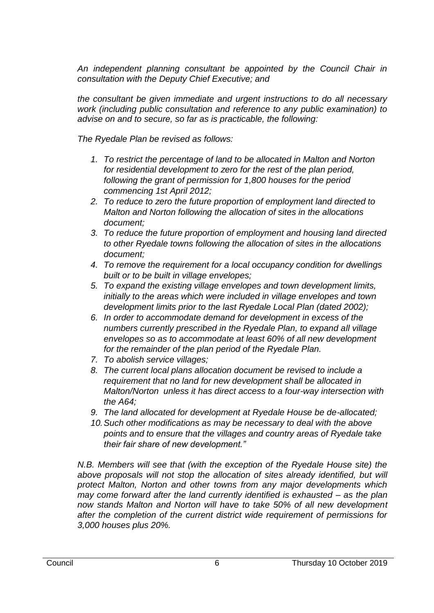An independent planning consultant be appointed by the Council Chair in *consultation with the Deputy Chief Executive; and*

*the consultant be given immediate and urgent instructions to do all necessary work (including public consultation and reference to any public examination) to advise on and to secure, so far as is practicable, the following:*

*The Ryedale Plan be revised as follows:*

- *1. To restrict the percentage of land to be allocated in Malton and Norton for residential development to zero for the rest of the plan period, following the grant of permission for 1,800 houses for the period commencing 1st April 2012;*
- *2. To reduce to zero the future proportion of employment land directed to Malton and Norton following the allocation of sites in the allocations document;*
- *3. To reduce the future proportion of employment and housing land directed to other Ryedale towns following the allocation of sites in the allocations document;*
- *4. To remove the requirement for a local occupancy condition for dwellings built or to be built in village envelopes;*
- *5. To expand the existing village envelopes and town development limits, initially to the areas which were included in village envelopes and town development limits prior to the last Ryedale Local Plan (dated 2002);*
- *6. In order to accommodate demand for development in excess of the numbers currently prescribed in the Ryedale Plan, to expand all village envelopes so as to accommodate at least 60% of all new development for the remainder of the plan period of the Ryedale Plan.*
- *7. To abolish service villages;*
- *8. The current local plans allocation document be revised to include a requirement that no land for new development shall be allocated in Malton/Norton unless it has direct access to a four-way intersection with the A64;*
- *9. The land allocated for development at Ryedale House be de-allocated;*
- *10.Such other modifications as may be necessary to deal with the above points and to ensure that the villages and country areas of Ryedale take their fair share of new development."*

*N.B. Members will see that (with the exception of the Ryedale House site) the*  above proposals will not stop the allocation of sites already identified, but will *protect Malton, Norton and other towns from any major developments which may come forward after the land currently identified is exhausted – as the plan now stands Malton and Norton will have to take 50% of all new development after the completion of the current district wide requirement of permissions for 3,000 houses plus 20%.*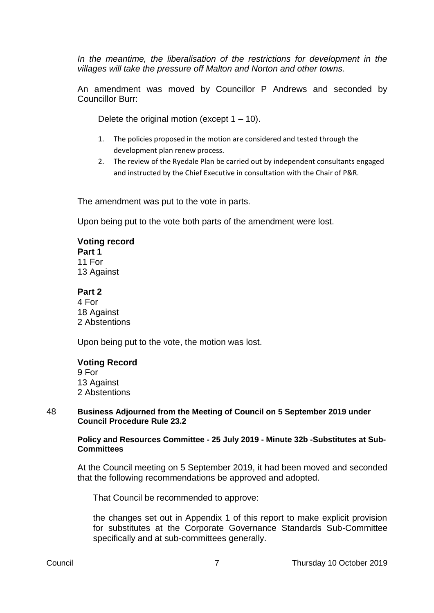In the meantime, the liberalisation of the restrictions for development in the *villages will take the pressure off Malton and Norton and other towns.*

An amendment was moved by Councillor P Andrews and seconded by Councillor Burr:

Delete the original motion (except  $1 - 10$ ).

- 1. The policies proposed in the motion are considered and tested through the development plan renew process.
- 2. The review of the Ryedale Plan be carried out by independent consultants engaged and instructed by the Chief Executive in consultation with the Chair of P&R.

The amendment was put to the vote in parts.

Upon being put to the vote both parts of the amendment were lost.

# **Voting record**

**Part 1** 11 For 13 Against

## **Part 2**

4 For 18 Against 2 Abstentions

Upon being put to the vote, the motion was lost.

# **Voting Record**

9 For 13 Against 2 Abstentions

#### 48 **Business Adjourned from the Meeting of Council on 5 September 2019 under Council Procedure Rule 23.2**

**Policy and Resources Committee - 25 July 2019 - Minute 32b -Substitutes at Sub-Committees**

At the Council meeting on 5 September 2019, it had been moved and seconded that the following recommendations be approved and adopted.

That Council be recommended to approve:

the changes set out in Appendix 1 of this report to make explicit provision for substitutes at the Corporate Governance Standards Sub-Committee specifically and at sub-committees generally.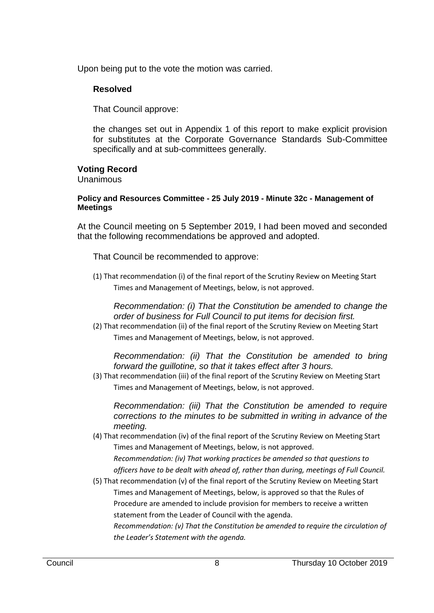Upon being put to the vote the motion was carried.

# **Resolved**

That Council approve:

the changes set out in Appendix 1 of this report to make explicit provision for substitutes at the Corporate Governance Standards Sub-Committee specifically and at sub-committees generally.

# **Voting Record**

Unanimous

## **Policy and Resources Committee - 25 July 2019 - Minute 32c - Management of Meetings**

At the Council meeting on 5 September 2019, I had been moved and seconded that the following recommendations be approved and adopted.

That Council be recommended to approve:

(1) That recommendation (i) of the final report of the Scrutiny Review on Meeting Start Times and Management of Meetings, below, is not approved.

*Recommendation: (i) That the Constitution be amended to change the order of business for Full Council to put items for decision first.*

(2) That recommendation (ii) of the final report of the Scrutiny Review on Meeting Start Times and Management of Meetings, below, is not approved.

*Recommendation: (ii) That the Constitution be amended to bring forward the guillotine, so that it takes effect after 3 hours.*

(3) That recommendation (iii) of the final report of the Scrutiny Review on Meeting Start Times and Management of Meetings, below, is not approved.

*Recommendation: (iii) That the Constitution be amended to require corrections to the minutes to be submitted in writing in advance of the meeting.*

(4) That recommendation (iv) of the final report of the Scrutiny Review on Meeting Start Times and Management of Meetings, below, is not approved.

*Recommendation: (iv) That working practices be amended so that questions to officers have to be dealt with ahead of, rather than during, meetings of Full Council.*

(5) That recommendation (v) of the final report of the Scrutiny Review on Meeting Start Times and Management of Meetings, below, is approved so that the Rules of Procedure are amended to include provision for members to receive a written statement from the Leader of Council with the agenda.

*Recommendation: (v) That the Constitution be amended to require the circulation of the Leader's Statement with the agenda.*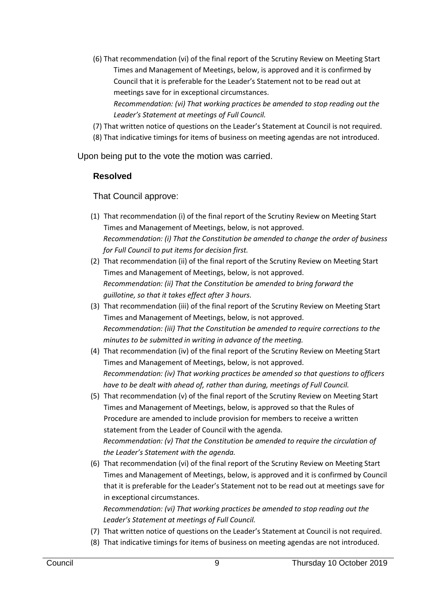(6) That recommendation (vi) of the final report of the Scrutiny Review on Meeting Start Times and Management of Meetings, below, is approved and it is confirmed by Council that it is preferable for the Leader's Statement not to be read out at meetings save for in exceptional circumstances.

*Recommendation: (vi) That working practices be amended to stop reading out the Leader's Statement at meetings of Full Council.*

(7) That written notice of questions on the Leader's Statement at Council is not required.

(8) That indicative timings for items of business on meeting agendas are not introduced.

Upon being put to the vote the motion was carried.

## **Resolved**

That Council approve:

- (1) That recommendation (i) of the final report of the Scrutiny Review on Meeting Start Times and Management of Meetings, below, is not approved. *Recommendation: (i) That the Constitution be amended to change the order of business for Full Council to put items for decision first.*
- (2) That recommendation (ii) of the final report of the Scrutiny Review on Meeting Start Times and Management of Meetings, below, is not approved. *Recommendation: (ii) That the Constitution be amended to bring forward the guillotine, so that it takes effect after 3 hours.*
- (3) That recommendation (iii) of the final report of the Scrutiny Review on Meeting Start Times and Management of Meetings, below, is not approved. *Recommendation: (iii) That the Constitution be amended to require corrections to the minutes to be submitted in writing in advance of the meeting.*
- (4) That recommendation (iv) of the final report of the Scrutiny Review on Meeting Start Times and Management of Meetings, below, is not approved. *Recommendation: (iv) That working practices be amended so that questions to officers have to be dealt with ahead of, rather than during, meetings of Full Council.*
- (5) That recommendation (v) of the final report of the Scrutiny Review on Meeting Start Times and Management of Meetings, below, is approved so that the Rules of Procedure are amended to include provision for members to receive a written statement from the Leader of Council with the agenda. *Recommendation: (v) That the Constitution be amended to require the circulation of the Leader's Statement with the agenda.*
- (6) That recommendation (vi) of the final report of the Scrutiny Review on Meeting Start Times and Management of Meetings, below, is approved and it is confirmed by Council that it is preferable for the Leader's Statement not to be read out at meetings save for in exceptional circumstances.

*Recommendation: (vi) That working practices be amended to stop reading out the Leader's Statement at meetings of Full Council.*

- (7) That written notice of questions on the Leader's Statement at Council is not required.
- (8) That indicative timings for items of business on meeting agendas are not introduced.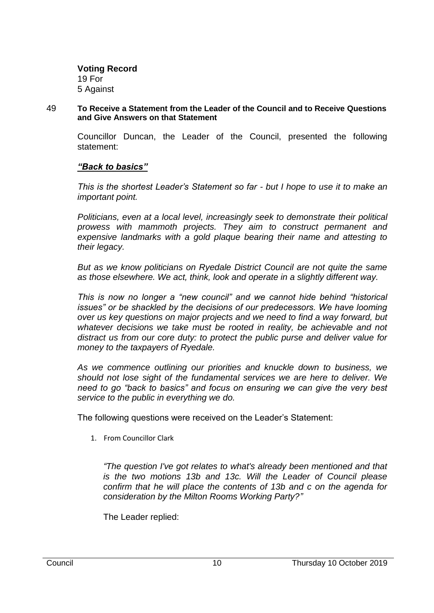**Voting Record** 19 For 5 Against

#### 49 **To Receive a Statement from the Leader of the Council and to Receive Questions and Give Answers on that Statement**

Councillor Duncan, the Leader of the Council, presented the following statement:

## *"Back to basics"*

*This is the shortest Leader's Statement so far - but I hope to use it to make an important point.*

*Politicians, even at a local level, increasingly seek to demonstrate their political prowess with mammoth projects. They aim to construct permanent and expensive landmarks with a gold plaque bearing their name and attesting to their legacy.*

*But as we know politicians on Ryedale District Council are not quite the same as those elsewhere. We act, think, look and operate in a slightly different way.*

*This is now no longer a "new council" and we cannot hide behind "historical issues" or be shackled by the decisions of our predecessors. We have looming over us key questions on major projects and we need to find a way forward, but whatever decisions we take must be rooted in reality, be achievable and not distract us from our core duty: to protect the public purse and deliver value for money to the taxpayers of Ryedale.*

*As we commence outlining our priorities and knuckle down to business, we should not lose sight of the fundamental services we are here to deliver. We need to go "back to basics" and focus on ensuring we can give the very best service to the public in everything we do.*

The following questions were received on the Leader's Statement:

1. From Councillor Clark

*"The question I've got relates to what's already been mentioned and that is the two motions 13b and 13c. Will the Leader of Council please confirm that he will place the contents of 13b and c on the agenda for consideration by the Milton Rooms Working Party?"*

The Leader replied: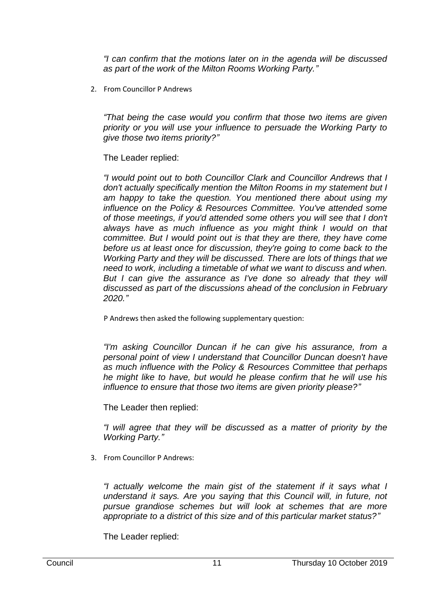*"I can confirm that the motions later on in the agenda will be discussed as part of the work of the Milton Rooms Working Party."*

2. From Councillor P Andrews

*"That being the case would you confirm that those two items are given priority or you will use your influence to persuade the Working Party to give those two items priority?"*

# The Leader replied:

*"I would point out to both Councillor Clark and Councillor Andrews that I don't actually specifically mention the Milton Rooms in my statement but I am happy to take the question. You mentioned there about using my influence on the Policy & Resources Committee. You've attended some of those meetings, if you'd attended some others you will see that I don't always have as much influence as you might think I would on that committee. But I would point out is that they are there, they have come before us at least once for discussion, they're going to come back to the Working Party and they will be discussed. There are lots of things that we need to work, including a timetable of what we want to discuss and when.*  But I can give the assurance as I've done so already that they will *discussed as part of the discussions ahead of the conclusion in February 2020."*

P Andrews then asked the following supplementary question:

*"I'm asking Councillor Duncan if he can give his assurance, from a personal point of view I understand that Councillor Duncan doesn't have as much influence with the Policy & Resources Committee that perhaps he might like to have, but would he please confirm that he will use his influence to ensure that those two items are given priority please?"*

The Leader then replied:

*"I will agree that they will be discussed as a matter of priority by the Working Party."*

3. From Councillor P Andrews:

*"I actually welcome the main gist of the statement if it says what I understand it says. Are you saying that this Council will, in future, not pursue grandiose schemes but will look at schemes that are more appropriate to a district of this size and of this particular market status?"*

The Leader replied: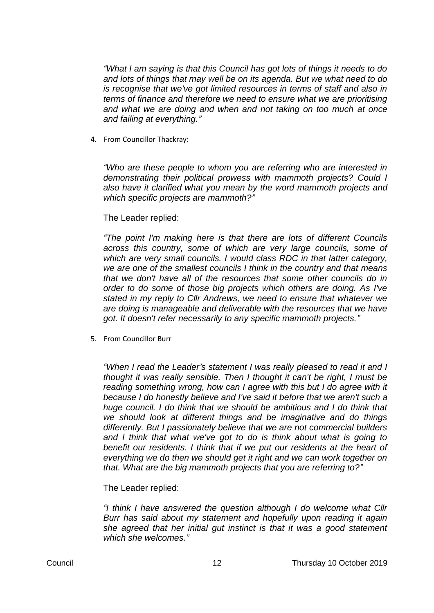*"What I am saying is that this Council has got lots of things it needs to do and lots of things that may well be on its agenda. But we what need to do is recognise that we've got limited resources in terms of staff and also in terms of finance and therefore we need to ensure what we are prioritising and what we are doing and when and not taking on too much at once and failing at everything."*

4. From Councillor Thackray:

*"Who are these people to whom you are referring who are interested in demonstrating their political prowess with mammoth projects? Could I also have it clarified what you mean by the word mammoth projects and which specific projects are mammoth?"*

# The Leader replied:

*"The point I'm making here is that there are lots of different Councils across this country, some of which are very large councils, some of which are very small councils. I would class RDC in that latter category, we are one of the smallest councils I think in the country and that means that we don't have all of the resources that some other councils do in order to do some of those big projects which others are doing. As I've stated in my reply to Cllr Andrews, we need to ensure that whatever we are doing is manageable and deliverable with the resources that we have got. It doesn't refer necessarily to any specific mammoth projects."*

5. From Councillor Burr

*"When I read the Leader's statement I was really pleased to read it and I thought it was really sensible. Then I thought it can't be right, I must be reading something wrong, how can I agree with this but I do agree with it because I do honestly believe and I've said it before that we aren't such a huge council. I do think that we should be ambitious and I do think that we should look at different things and be imaginative and do things differently. But I passionately believe that we are not commercial builders and I think that what we've got to do is think about what is going to benefit our residents. I think that if we put our residents at the heart of everything we do then we should get it right and we can work together on that. What are the big mammoth projects that you are referring to?"*

# The Leader replied:

*"I think I have answered the question although I do welcome what Cllr Burr has said about my statement and hopefully upon reading it again she agreed that her initial gut instinct is that it was a good statement which she welcomes."*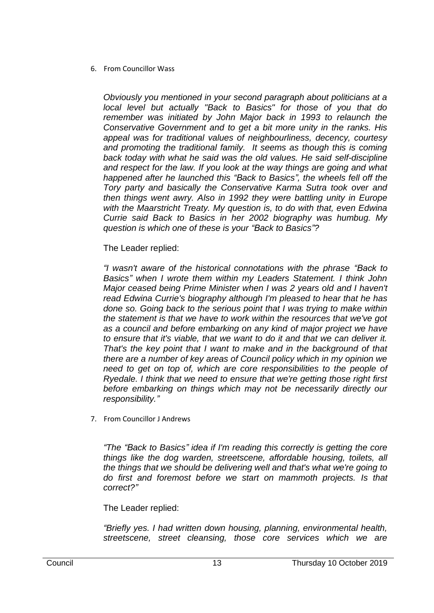## 6. From Councillor Wass

*Obviously you mentioned in your second paragraph about politicians at a local level but actually "Back to Basics" for those of you that do remember was initiated by John Major back in 1993 to relaunch the Conservative Government and to get a bit more unity in the ranks. His appeal was for traditional values of neighbourliness, decency, courtesy and promoting the traditional family. It seems as though this is coming back today with what he said was the old values. He said self-discipline and respect for the law. If you look at the way things are going and what happened after he launched this "Back to Basics", the wheels fell off the Tory party and basically the Conservative Karma Sutra took over and then things went awry. Also in 1992 they were battling unity in Europe with the Maarstricht Treaty. My question is, to do with that, even Edwina Currie said Back to Basics in her 2002 biography was humbug. My question is which one of these is your "Back to Basics"?*

The Leader replied:

*"I wasn't aware of the historical connotations with the phrase "Back to Basics" when I wrote them within my Leaders Statement. I think John Major ceased being Prime Minister when I was 2 years old and I haven't read Edwina Currie's biography although I'm pleased to hear that he has done so. Going back to the serious point that I was trying to make within the statement is that we have to work within the resources that we've got as a council and before embarking on any kind of major project we have to ensure that it's viable, that we want to do it and that we can deliver it. That's the key point that I want to make and in the background of that there are a number of key areas of Council policy which in my opinion we need to get on top of, which are core responsibilities to the people of Ryedale. I think that we need to ensure that we're getting those right first before embarking on things which may not be necessarily directly our responsibility."*

7. From Councillor J Andrews

*"The "Back to Basics" idea if I'm reading this correctly is getting the core things like the dog warden, streetscene, affordable housing, toilets, all the things that we should be delivering well and that's what we're going to do first and foremost before we start on mammoth projects. Is that correct?"*

The Leader replied:

*"Briefly yes. I had written down housing, planning, environmental health, streetscene, street cleansing, those core services which we are*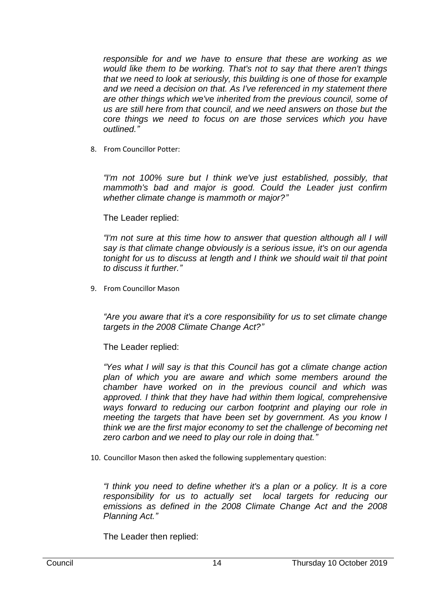*responsible for and we have to ensure that these are working as we would like them to be working. That's not to say that there aren't things that we need to look at seriously, this building is one of those for example and we need a decision on that. As I've referenced in my statement there are other things which we've inherited from the previous council, some of us are still here from that council, and we need answers on those but the core things we need to focus on are those services which you have outlined."*

8. From Councillor Potter:

*"I'm not 100% sure but I think we've just established, possibly, that mammoth's bad and major is good. Could the Leader just confirm whether climate change is mammoth or major?"*

The Leader replied:

*"I'm not sure at this time how to answer that question although all I will say is that climate change obviously is a serious issue, it's on our agenda tonight for us to discuss at length and I think we should wait til that point to discuss it further."*

9. From Councillor Mason

*"Are you aware that it's a core responsibility for us to set climate change targets in the 2008 Climate Change Act?"*

The Leader replied:

*"Yes what I will say is that this Council has got a climate change action plan of which you are aware and which some members around the chamber have worked on in the previous council and which was approved. I think that they have had within them logical, comprehensive ways forward to reducing our carbon footprint and playing our role in meeting the targets that have been set by government. As you know I think we are the first major economy to set the challenge of becoming net zero carbon and we need to play our role in doing that."*

10. Councillor Mason then asked the following supplementary question:

*"I think you need to define whether it's a plan or a policy. It is a core responsibility for us to actually set local targets for reducing our emissions as defined in the 2008 Climate Change Act and the 2008 Planning Act."*

The Leader then replied: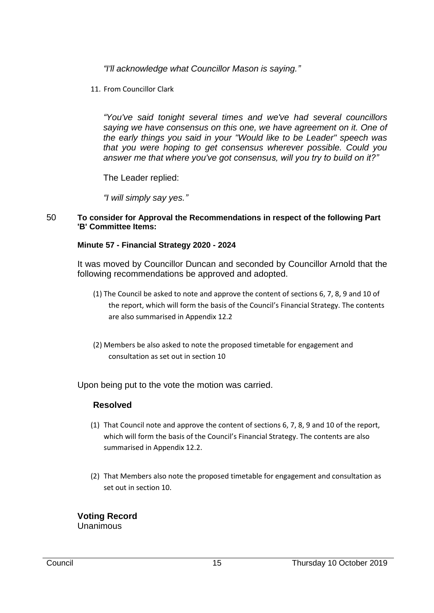*"I'll acknowledge what Councillor Mason is saying."*

11. From Councillor Clark

*"You've said tonight several times and we've had several councillors saying we have consensus on this one, we have agreement on it. One of the early things you said in your "Would like to be Leader" speech was that you were hoping to get consensus wherever possible. Could you answer me that where you've got consensus, will you try to build on it?"*

The Leader replied:

*"I will simply say yes."*

#### 50 **To consider for Approval the Recommendations in respect of the following Part 'B' Committee Items:**

## **Minute 57 - Financial Strategy 2020 - 2024**

It was moved by Councillor Duncan and seconded by Councillor Arnold that the following recommendations be approved and adopted.

- (1) The Council be asked to note and approve the content of sections 6, 7, 8, 9 and 10 of the report, which will form the basis of the Council's Financial Strategy. The contents are also summarised in Appendix 12.2
- (2) Members be also asked to note the proposed timetable for engagement and consultation as set out in section 10

Upon being put to the vote the motion was carried.

# **Resolved**

- (1) That Council note and approve the content of sections 6, 7, 8, 9 and 10 of the report, which will form the basis of the Council's Financial Strategy. The contents are also summarised in Appendix 12.2.
- (2) That Members also note the proposed timetable for engagement and consultation as set out in section 10.

**Voting Record** Unanimous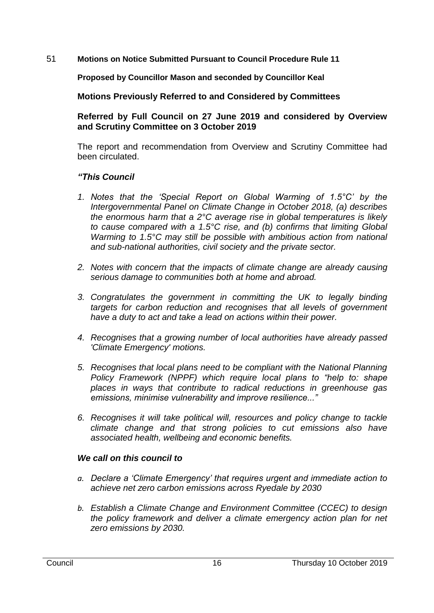51 **Motions on Notice Submitted Pursuant to Council Procedure Rule 11**

**Proposed by Councillor Mason and seconded by Councillor Keal**

**Motions Previously Referred to and Considered by Committees**

**Referred by Full Council on 27 June 2019 and considered by Overview and Scrutiny Committee on 3 October 2019** 

The report and recommendation from Overview and Scrutiny Committee had been circulated.

# *"This Council*

- *1. Notes that the 'Special Report on Global Warming of 1.5°C' by the Intergovernmental Panel on Climate Change in October 2018, (a) describes the enormous harm that a 2°C average rise in global temperatures is likely to cause compared with a 1.5°C rise, and (b) confirms that limiting Global Warming to 1.5°C may still be possible with ambitious action from national and sub-national authorities, civil society and the private sector.*
- *2. Notes with concern that the impacts of climate change are already causing serious damage to communities both at home and abroad.*
- *3. Congratulates the government in committing the UK to legally binding targets for carbon reduction and recognises that all levels of government have a duty to act and take a lead on actions within their power.*
- *4. Recognises that a growing number of local authorities have already passed 'Climate Emergency' motions.*
- *5. Recognises that local plans need to be compliant with the National Planning Policy Framework (NPPF) which require local plans to "help to: shape places in ways that contribute to radical reductions in greenhouse gas emissions, minimise vulnerability and improve resilience..."*
- *6. Recognises it will take political will, resources and policy change to tackle climate change and that strong policies to cut emissions also have associated health, wellbeing and economic benefits.*

# *We call on this council to*

- *a. Declare a 'Climate Emergency' that requires urgent and immediate action to achieve net zero carbon emissions across Ryedale by 2030*
- *b. Establish a Climate Change and Environment Committee (CCEC) to design the policy framework and deliver a climate emergency action plan for net zero emissions by 2030.*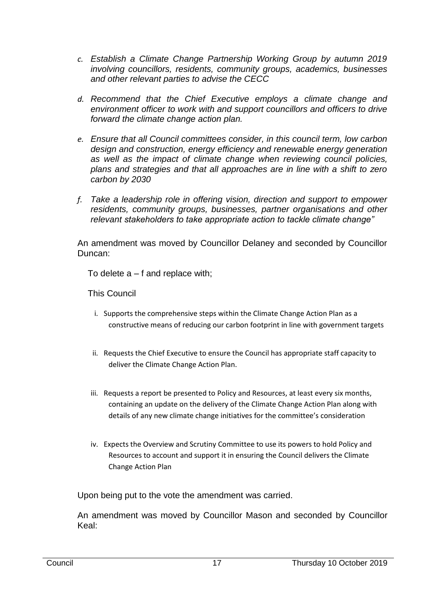- *c. Establish a Climate Change Partnership Working Group by autumn 2019 involving councillors, residents, community groups, academics, businesses and other relevant parties to advise the CECC*
- *d. Recommend that the Chief Executive employs a climate change and environment officer to work with and support councillors and officers to drive forward the climate change action plan.*
- *e. Ensure that all Council committees consider, in this council term, low carbon design and construction, energy efficiency and renewable energy generation as well as the impact of climate change when reviewing council policies, plans and strategies and that all approaches are in line with a shift to zero carbon by 2030*
- *f. Take a leadership role in offering vision, direction and support to empower residents, community groups, businesses, partner organisations and other relevant stakeholders to take appropriate action to tackle climate change"*

An amendment was moved by Councillor Delaney and seconded by Councillor Duncan:

To delete a – f and replace with;

This Council

- i. Supports the comprehensive steps within the Climate Change Action Plan as a constructive means of reducing our carbon footprint in line with government targets
- ii. Requests the Chief Executive to ensure the Council has appropriate staff capacity to deliver the Climate Change Action Plan.
- iii. Requests a report be presented to Policy and Resources, at least every six months, containing an update on the delivery of the Climate Change Action Plan along with details of any new climate change initiatives for the committee's consideration
- iv. Expects the Overview and Scrutiny Committee to use its powers to hold Policy and Resources to account and support it in ensuring the Council delivers the Climate Change Action Plan

Upon being put to the vote the amendment was carried.

An amendment was moved by Councillor Mason and seconded by Councillor Keal: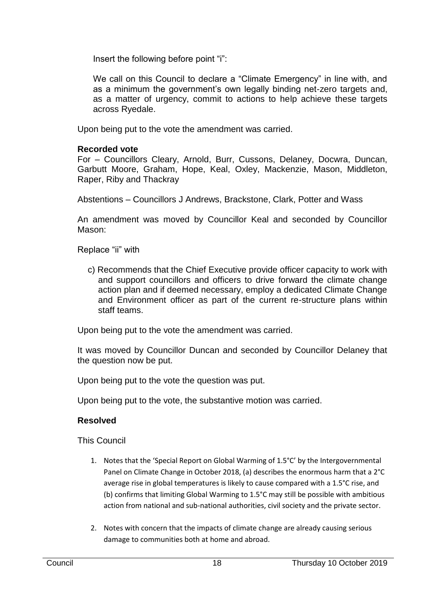Insert the following before point "i":

We call on this Council to declare a "Climate Emergency" in line with, and as a minimum the government's own legally binding net-zero targets and, as a matter of urgency, commit to actions to help achieve these targets across Ryedale.

Upon being put to the vote the amendment was carried.

# **Recorded vote**

For – Councillors Cleary, Arnold, Burr, Cussons, Delaney, Docwra, Duncan, Garbutt Moore, Graham, Hope, Keal, Oxley, Mackenzie, Mason, Middleton, Raper, Riby and Thackray

Abstentions – Councillors J Andrews, Brackstone, Clark, Potter and Wass

An amendment was moved by Councillor Keal and seconded by Councillor Mason:

Replace "ii" with

c) Recommends that the Chief Executive provide officer capacity to work with and support councillors and officers to drive forward the climate change action plan and if deemed necessary, employ a dedicated Climate Change and Environment officer as part of the current re-structure plans within staff teams.

Upon being put to the vote the amendment was carried.

It was moved by Councillor Duncan and seconded by Councillor Delaney that the question now be put.

Upon being put to the vote the question was put.

Upon being put to the vote, the substantive motion was carried.

# **Resolved**

This Council

- 1. Notes that the 'Special Report on Global Warming of 1.5°C' by the Intergovernmental Panel on Climate Change in October 2018, (a) describes the enormous harm that a 2°C average rise in global temperatures is likely to cause compared with a 1.5°C rise, and (b) confirms that limiting Global Warming to 1.5°C may still be possible with ambitious action from national and sub-national authorities, civil society and the private sector.
- 2. Notes with concern that the impacts of climate change are already causing serious damage to communities both at home and abroad.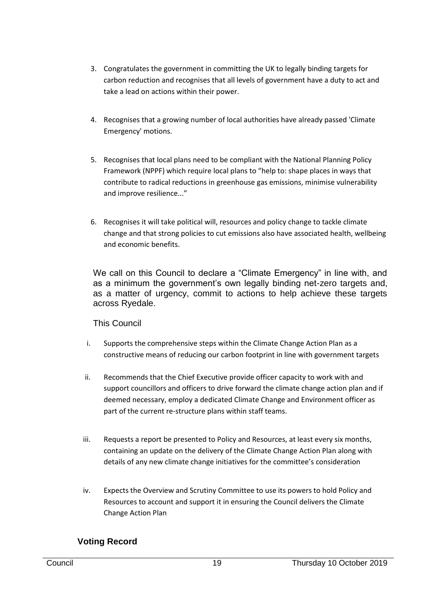- 3. Congratulates the government in committing the UK to legally binding targets for carbon reduction and recognises that all levels of government have a duty to act and take a lead on actions within their power.
- 4. Recognises that a growing number of local authorities have already passed 'Climate Emergency' motions.
- 5. Recognises that local plans need to be compliant with the National Planning Policy Framework (NPPF) which require local plans to "help to: shape places in ways that contribute to radical reductions in greenhouse gas emissions, minimise vulnerability and improve resilience..."
- 6. Recognises it will take political will, resources and policy change to tackle climate change and that strong policies to cut emissions also have associated health, wellbeing and economic benefits.

We call on this Council to declare a "Climate Emergency" in line with, and as a minimum the government's own legally binding net-zero targets and, as a matter of urgency, commit to actions to help achieve these targets across Ryedale.

# This Council

- i. Supports the comprehensive steps within the Climate Change Action Plan as a constructive means of reducing our carbon footprint in line with government targets
- ii. Recommends that the Chief Executive provide officer capacity to work with and support councillors and officers to drive forward the climate change action plan and if deemed necessary, employ a dedicated Climate Change and Environment officer as part of the current re-structure plans within staff teams.
- iii. Requests a report be presented to Policy and Resources, at least every six months, containing an update on the delivery of the Climate Change Action Plan along with details of any new climate change initiatives for the committee's consideration
- iv. Expects the Overview and Scrutiny Committee to use its powers to hold Policy and Resources to account and support it in ensuring the Council delivers the Climate Change Action Plan

# **Voting Record**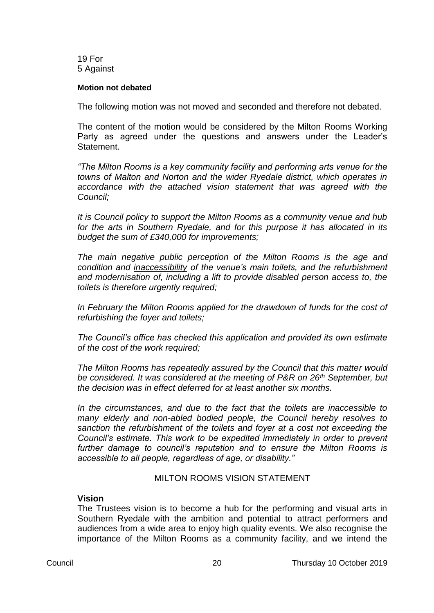19 For 5 Against

## **Motion not debated**

The following motion was not moved and seconded and therefore not debated.

The content of the motion would be considered by the Milton Rooms Working Party as agreed under the questions and answers under the Leader's Statement.

*"The Milton Rooms is a key community facility and performing arts venue for the towns of Malton and Norton and the wider Ryedale district, which operates in accordance with the attached vision statement that was agreed with the Council;*

*It is Council policy to support the Milton Rooms as a community venue and hub for the arts in Southern Ryedale, and for this purpose it has allocated in its budget the sum of £340,000 for improvements;*

*The main negative public perception of the Milton Rooms is the age and condition and inaccessibility of the venue's main toilets, and the refurbishment and modernisation of, including a lift to provide disabled person access to, the toilets is therefore urgently required;*

In February the Milton Rooms applied for the drawdown of funds for the cost of *refurbishing the foyer and toilets;*

*The Council's office has checked this application and provided its own estimate of the cost of the work required;*

*The Milton Rooms has repeatedly assured by the Council that this matter would be considered. It was considered at the meeting of P&R on 26th September, but the decision was in effect deferred for at least another six months.*

*In the circumstances, and due to the fact that the toilets are inaccessible to many elderly and non-abled bodied people, the Council hereby resolves to sanction the refurbishment of the toilets and foyer at a cost not exceeding the Council's estimate. This work to be expedited immediately in order to prevent further damage to council's reputation and to ensure the Milton Rooms is accessible to all people, regardless of age, or disability."*

## MILTON ROOMS VISION STATEMENT

# **Vision**

The Trustees vision is to become a hub for the performing and visual arts in Southern Ryedale with the ambition and potential to attract performers and audiences from a wide area to enjoy high quality events. We also recognise the importance of the Milton Rooms as a community facility, and we intend the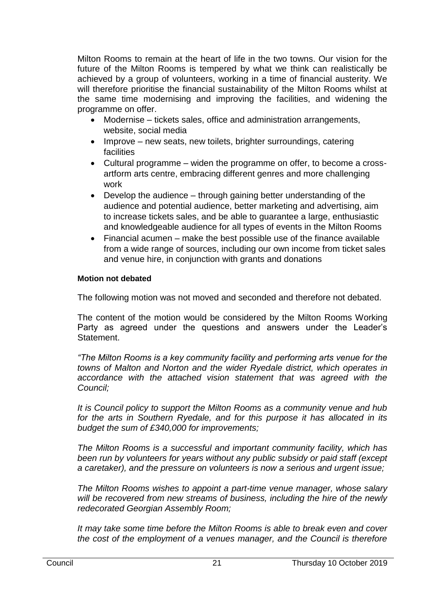Milton Rooms to remain at the heart of life in the two towns. Our vision for the future of the Milton Rooms is tempered by what we think can realistically be achieved by a group of volunteers, working in a time of financial austerity. We will therefore prioritise the financial sustainability of the Milton Rooms whilst at the same time modernising and improving the facilities, and widening the programme on offer.

- Modernise tickets sales, office and administration arrangements, website, social media
- Improve new seats, new toilets, brighter surroundings, catering facilities
- Cultural programme widen the programme on offer, to become a crossartform arts centre, embracing different genres and more challenging work
- Develop the audience through gaining better understanding of the audience and potential audience, better marketing and advertising, aim to increase tickets sales, and be able to guarantee a large, enthusiastic and knowledgeable audience for all types of events in the Milton Rooms
- Financial acumen make the best possible use of the finance available from a wide range of sources, including our own income from ticket sales and venue hire, in conjunction with grants and donations

## **Motion not debated**

The following motion was not moved and seconded and therefore not debated.

The content of the motion would be considered by the Milton Rooms Working Party as agreed under the questions and answers under the Leader's Statement.

*"The Milton Rooms is a key community facility and performing arts venue for the towns of Malton and Norton and the wider Ryedale district, which operates in accordance with the attached vision statement that was agreed with the Council;*

*It is Council policy to support the Milton Rooms as a community venue and hub for the arts in Southern Ryedale, and for this purpose it has allocated in its budget the sum of £340,000 for improvements;*

*The Milton Rooms is a successful and important community facility, which has been run by volunteers for years without any public subsidy or paid staff (except a caretaker), and the pressure on volunteers is now a serious and urgent issue;*

*The Milton Rooms wishes to appoint a part-time venue manager, whose salary will be recovered from new streams of business, including the hire of the newly redecorated Georgian Assembly Room;*

*It may take some time before the Milton Rooms is able to break even and cover the cost of the employment of a venues manager, and the Council is therefore*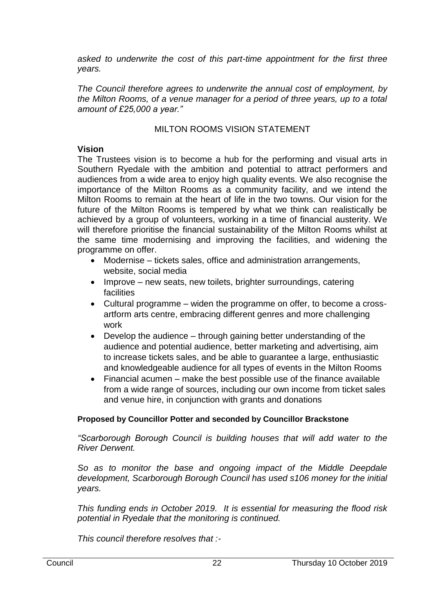*asked to underwrite the cost of this part-time appointment for the first three years.*

*The Council therefore agrees to underwrite the annual cost of employment, by the Milton Rooms, of a venue manager for a period of three years, up to a total amount of £25,000 a year."*

# MILTON ROOMS VISION STATEMENT

## **Vision**

The Trustees vision is to become a hub for the performing and visual arts in Southern Ryedale with the ambition and potential to attract performers and audiences from a wide area to enjoy high quality events. We also recognise the importance of the Milton Rooms as a community facility, and we intend the Milton Rooms to remain at the heart of life in the two towns. Our vision for the future of the Milton Rooms is tempered by what we think can realistically be achieved by a group of volunteers, working in a time of financial austerity. We will therefore prioritise the financial sustainability of the Milton Rooms whilst at the same time modernising and improving the facilities, and widening the programme on offer.

- Modernise tickets sales, office and administration arrangements, website, social media
- Improve new seats, new toilets, brighter surroundings, catering facilities
- Cultural programme widen the programme on offer, to become a crossartform arts centre, embracing different genres and more challenging work
- Develop the audience through gaining better understanding of the audience and potential audience, better marketing and advertising, aim to increase tickets sales, and be able to guarantee a large, enthusiastic and knowledgeable audience for all types of events in the Milton Rooms
- Financial acumen make the best possible use of the finance available from a wide range of sources, including our own income from ticket sales and venue hire, in conjunction with grants and donations

# **Proposed by Councillor Potter and seconded by Councillor Brackstone**

*"Scarborough Borough Council is building houses that will add water to the River Derwent.*

So as to monitor the base and ongoing impact of the Middle Deepdale *development, Scarborough Borough Council has used s106 money for the initial years.*

*This funding ends in October 2019. It is essential for measuring the flood risk potential in Ryedale that the monitoring is continued.*

*This council therefore resolves that :-*